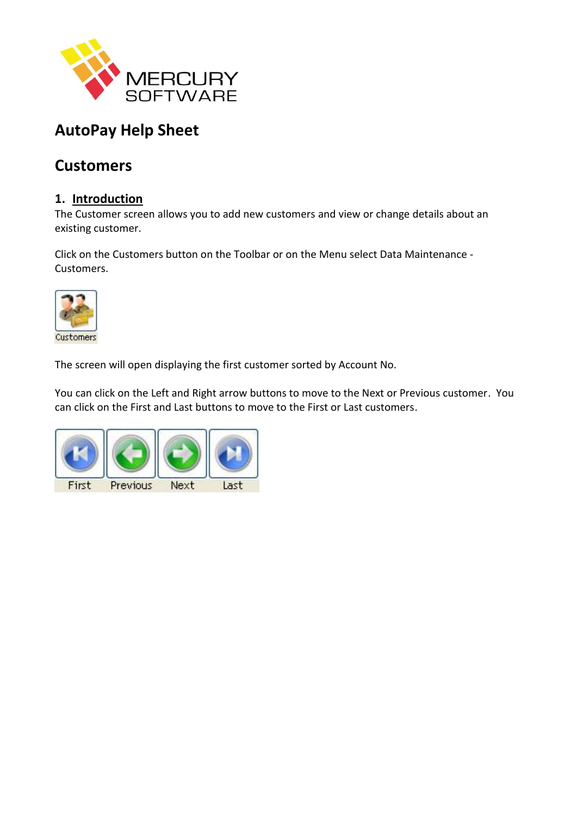

# **AutoPay Help Sheet**

# **Customers**

# **1. Introduction**

The Customer screen allows you to add new customers and view or change details about an existing customer.

Click on the Customers button on the Toolbar or on the Menu select Data Maintenance - Customers.



The screen will open displaying the first customer sorted by Account No.

You can click on the Left and Right arrow buttons to move to the Next or Previous customer. You can click on the First and Last buttons to move to the First or Last customers.

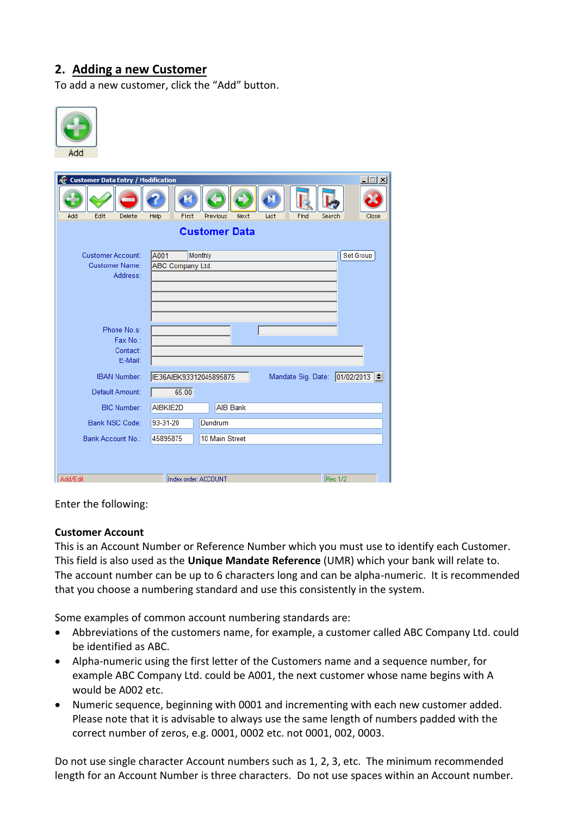# **2. Adding a new Customer**

To add a new customer, click the "Add" button.



| <b>Customer Data Entry / Modification</b><br>Æ                                                                        | $ \Box$ $\times$                                                 |  |  |  |
|-----------------------------------------------------------------------------------------------------------------------|------------------------------------------------------------------|--|--|--|
| Edit<br>Delete<br>First<br>Find<br>Add<br>Help<br>Previous<br>Next<br>Last<br>Search<br>Close<br><b>Customer Data</b> |                                                                  |  |  |  |
| Customer Account:<br><b>Customer Name:</b><br>Address:                                                                | A001<br>Set Group<br>Monthly<br><b>ABC Company Ltd.</b>          |  |  |  |
| Phone No.s:<br>Fax No.:<br>Contact:<br>E-Mail:                                                                        |                                                                  |  |  |  |
| <b>IBAN Number:</b><br>Default Amount:                                                                                | Mandate Sig. Date: 01/02/2013<br>IE36AIBK93312045895875<br>65.00 |  |  |  |
| <b>BIC Number:</b>                                                                                                    | AIBKIE2D<br><b>AIB Bank</b>                                      |  |  |  |
| Bank NSC Code:<br>Bank Account No.:                                                                                   | 93-31-20<br>Dundrum<br>45895875<br>10 Main Street                |  |  |  |
|                                                                                                                       |                                                                  |  |  |  |
| Add/Edit                                                                                                              | <b>Rec 1/2</b><br>Index order: ACCOUNT                           |  |  |  |

Enter the following:

#### **Customer Account**

This is an Account Number or Reference Number which you must use to identify each Customer. This field is also used as the **Unique Mandate Reference** (UMR) which your bank will relate to. The account number can be up to 6 characters long and can be alpha-numeric. It is recommended that you choose a numbering standard and use this consistently in the system.

Some examples of common account numbering standards are:

- Abbreviations of the customers name, for example, a customer called ABC Company Ltd. could be identified as ABC.
- Alpha-numeric using the first letter of the Customers name and a sequence number, for example ABC Company Ltd. could be A001, the next customer whose name begins with A would be A002 etc.
- Numeric sequence, beginning with 0001 and incrementing with each new customer added. Please note that it is advisable to always use the same length of numbers padded with the correct number of zeros, e.g. 0001, 0002 etc. not 0001, 002, 0003.

Do not use single character Account numbers such as 1, 2, 3, etc. The minimum recommended length for an Account Number is three characters. Do not use spaces within an Account number.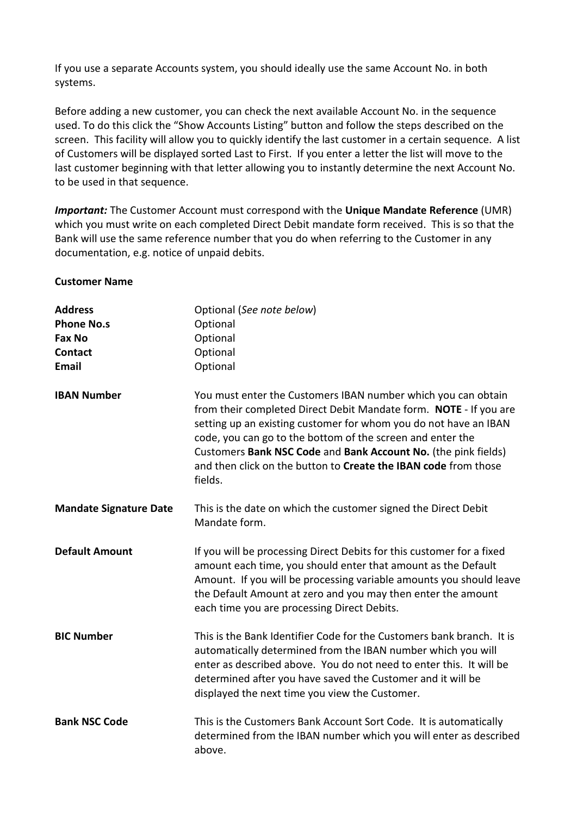If you use a separate Accounts system, you should ideally use the same Account No. in both systems.

Before adding a new customer, you can check the next available Account No. in the sequence used. To do this click the "Show Accounts Listing" button and follow the steps described on the screen. This facility will allow you to quickly identify the last customer in a certain sequence. A list of Customers will be displayed sorted Last to First. If you enter a letter the list will move to the last customer beginning with that letter allowing you to instantly determine the next Account No. to be used in that sequence.

*Important:* The Customer Account must correspond with the **Unique Mandate Reference** (UMR) which you must write on each completed Direct Debit mandate form received. This is so that the Bank will use the same reference number that you do when referring to the Customer in any documentation, e.g. notice of unpaid debits.

#### **Customer Name**

| <b>Address</b>                | Optional (See note below)                                                                                                                                                                                                                                                                                                     |
|-------------------------------|-------------------------------------------------------------------------------------------------------------------------------------------------------------------------------------------------------------------------------------------------------------------------------------------------------------------------------|
| <b>Phone No.s</b>             | Optional                                                                                                                                                                                                                                                                                                                      |
| <b>Fax No</b>                 | Optional                                                                                                                                                                                                                                                                                                                      |
| <b>Contact</b>                | Optional                                                                                                                                                                                                                                                                                                                      |
| Email                         | Optional                                                                                                                                                                                                                                                                                                                      |
| <b>IBAN Number</b>            | You must enter the Customers IBAN number which you can obtain<br>from their completed Direct Debit Mandate form. NOTE - If you are<br>setting up an existing customer for whom you do not have an IBAN                                                                                                                        |
|                               | code, you can go to the bottom of the screen and enter the<br>Customers Bank NSC Code and Bank Account No. (the pink fields)<br>and then click on the button to Create the IBAN code from those<br>fields.                                                                                                                    |
| <b>Mandate Signature Date</b> | This is the date on which the customer signed the Direct Debit<br>Mandate form.                                                                                                                                                                                                                                               |
| <b>Default Amount</b>         | If you will be processing Direct Debits for this customer for a fixed<br>amount each time, you should enter that amount as the Default<br>Amount. If you will be processing variable amounts you should leave<br>the Default Amount at zero and you may then enter the amount<br>each time you are processing Direct Debits.  |
| <b>BIC Number</b>             | This is the Bank Identifier Code for the Customers bank branch. It is<br>automatically determined from the IBAN number which you will<br>enter as described above. You do not need to enter this. It will be<br>determined after you have saved the Customer and it will be<br>displayed the next time you view the Customer. |
| <b>Bank NSC Code</b>          | This is the Customers Bank Account Sort Code. It is automatically<br>determined from the IBAN number which you will enter as described<br>above.                                                                                                                                                                              |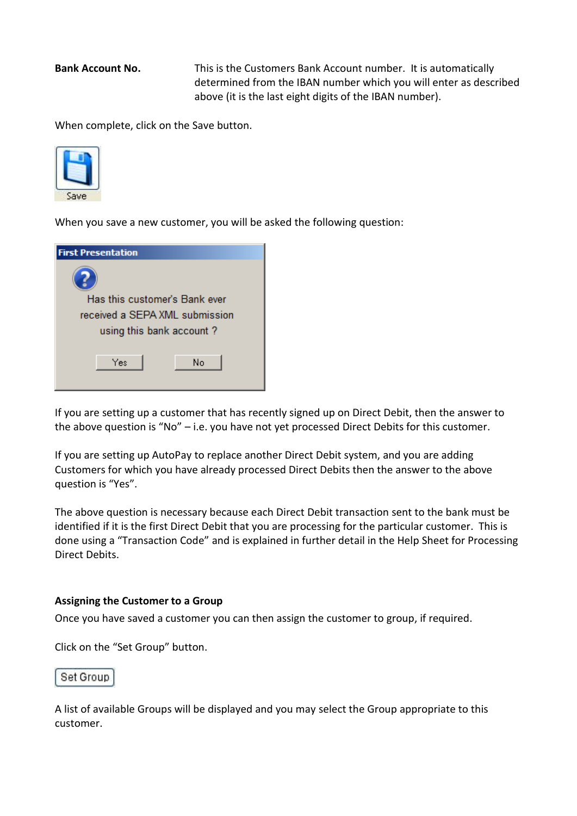**Bank Account No.** This is the Customers Bank Account number. It is automatically determined from the IBAN number which you will enter as described above (it is the last eight digits of the IBAN number).

When complete, click on the Save button.



When you save a new customer, you will be asked the following question:

| <b>First Presentation</b>      |
|--------------------------------|
|                                |
| Has this customer's Bank ever  |
| received a SEPA XML submission |
| using this bank account?       |
|                                |
| Yes<br>No                      |
|                                |
|                                |

If you are setting up a customer that has recently signed up on Direct Debit, then the answer to the above question is "No" – i.e. you have not yet processed Direct Debits for this customer.

If you are setting up AutoPay to replace another Direct Debit system, and you are adding Customers for which you have already processed Direct Debits then the answer to the above question is "Yes".

The above question is necessary because each Direct Debit transaction sent to the bank must be identified if it is the first Direct Debit that you are processing for the particular customer. This is done using a "Transaction Code" and is explained in further detail in the Help Sheet for Processing Direct Debits.

#### **Assigning the Customer to a Group**

Once you have saved a customer you can then assign the customer to group, if required.

Click on the "Set Group" button.

#### Set Group

A list of available Groups will be displayed and you may select the Group appropriate to this customer.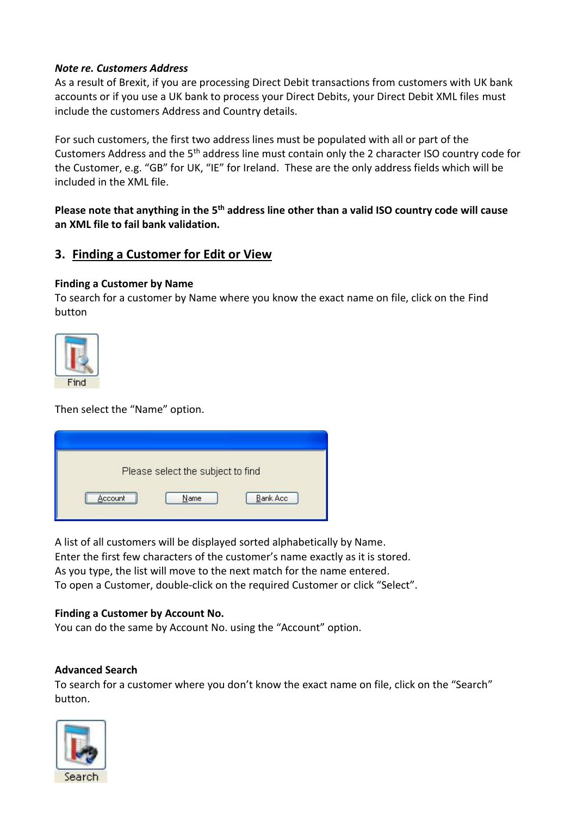### *Note re. Customers Address*

As a result of Brexit, if you are processing Direct Debit transactions from customers with UK bank accounts or if you use a UK bank to process your Direct Debits, your Direct Debit XML files must include the customers Address and Country details.

For such customers, the first two address lines must be populated with all or part of the Customers Address and the 5th address line must contain only the 2 character ISO country code for the Customer, e.g. "GB" for UK, "IE" for Ireland. These are the only address fields which will be included in the XML file.

**Please note that anything in the 5th address line other than a valid ISO country code will cause an XML file to fail bank validation.**

## **3. Finding a Customer for Edit or View**

#### **Finding a Customer by Name**

To search for a customer by Name where you know the exact name on file, click on the Find button



Then select the "Name" option.

|             | Please select the subject to find |                 |
|-------------|-----------------------------------|-----------------|
|             |                                   |                 |
| <br>Account | Name                              | <b>Bank Acc</b> |

A list of all customers will be displayed sorted alphabetically by Name. Enter the first few characters of the customer's name exactly as it is stored. As you type, the list will move to the next match for the name entered. To open a Customer, double-click on the required Customer or click "Select".

#### **Finding a Customer by Account No.**

You can do the same by Account No. using the "Account" option.

#### **Advanced Search**

To search for a customer where you don't know the exact name on file, click on the "Search" button.